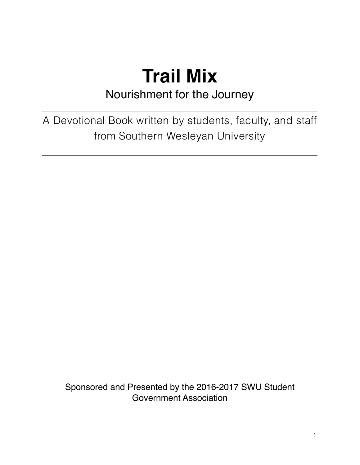### **Trail Mix** Nourishment for the Journey

A Devotional Book written by students, faculty, and staff from Southern Wesleyan University

Sponsored and Presented by the 2016-2017 SWU Student Government Association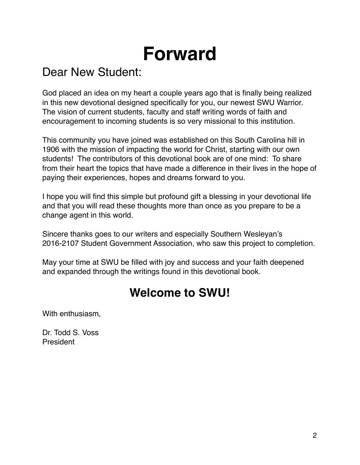# **Forward**

### Dear New Student:

God placed an idea on my heart a couple years ago that is finally being realized in this new devotional designed specifically for you, our newest SWU Warrior. The vision of current students, faculty and staff writing words of faith and encouragement to incoming students is so very missional to this institution.

This community you have joined was established on this South Carolina hill in 1906 with the mission of impacting the world for Christ, starting with our own students! The contributors of this devotional book are of one mind: To share from their heart the topics that have made a difference in their lives in the hope of paying their experiences, hopes and dreams forward to you.

I hope you will find this simple but profound gift a blessing in your devotional life and that you will read these thoughts more than once as you prepare to be a change agent in this world.

Sincere thanks goes to our writers and especially Southern Wesleyan's 2016-2107 Student Government Association, who saw this project to completion.

May your time at SWU be filled with joy and success and your faith deepened and expanded through the writings found in this devotional book.

### **Welcome to SWU!**

With enthusiasm,

Dr. Todd S. Voss President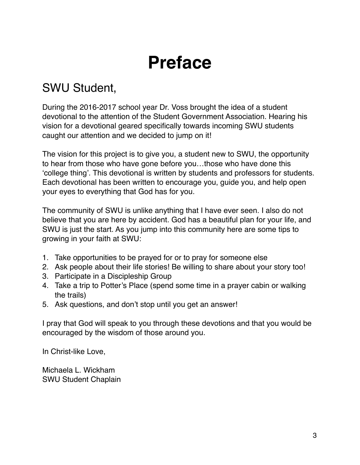# **Preface**

### SWU Student,

During the 2016-2017 school year Dr. Voss brought the idea of a student devotional to the attention of the Student Government Association. Hearing his vision for a devotional geared specifically towards incoming SWU students caught our attention and we decided to jump on it!

The vision for this project is to give you, a student new to SWU, the opportunity to hear from those who have gone before you…those who have done this 'college thing'. This devotional is written by students and professors for students. Each devotional has been written to encourage you, guide you, and help open your eyes to everything that God has for you.

The community of SWU is unlike anything that I have ever seen. I also do not believe that you are here by accident. God has a beautiful plan for your life, and SWU is just the start. As you jump into this community here are some tips to growing in your faith at SWU:

- 1. Take opportunities to be prayed for or to pray for someone else
- 2. Ask people about their life stories! Be willing to share about your story too!
- 3. Participate in a Discipleship Group
- 4. Take a trip to Potter's Place (spend some time in a prayer cabin or walking the trails)
- 5. Ask questions, and don't stop until you get an answer!

I pray that God will speak to you through these devotions and that you would be encouraged by the wisdom of those around you.

In Christ-like Love,

Michaela L. Wickham SWU Student Chaplain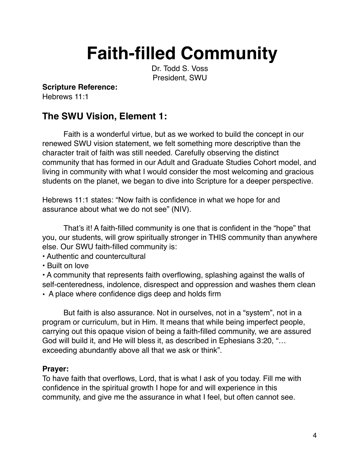# **Faith-filled Community**

Dr. Todd S. Voss President, SWU

**Scripture Reference:**

Hebrews 11:1

### **The SWU Vision, Element 1:**

Faith is a wonderful virtue, but as we worked to build the concept in our renewed SWU vision statement, we felt something more descriptive than the character trait of faith was still needed. Carefully observing the distinct community that has formed in our Adult and Graduate Studies Cohort model, and living in community with what I would consider the most welcoming and gracious students on the planet, we began to dive into Scripture for a deeper perspective.

Hebrews 11:1 states: "Now faith is confidence in what we hope for and assurance about what we do not see" (NIV).

That's it! A faith-filled community is one that is confident in the "hope" that you, our students, will grow spiritually stronger in THIS community than anywhere else. Our SWU faith-filled community is:

• Authentic and countercultural

• Built on love

• A community that represents faith overflowing, splashing against the walls of self-centeredness, indolence, disrespect and oppression and washes them clean

• A place where confidence digs deep and holds firm

But faith is also assurance. Not in ourselves, not in a "system", not in a program or curriculum, but in Him. It means that while being imperfect people, carrying out this opaque vision of being a faith-filled community, we are assured God will build it, and He will bless it, as described in Ephesians 3:20, "… exceeding abundantly above all that we ask or think".

#### **Prayer:**

To have faith that overflows, Lord, that is what I ask of you today. Fill me with confidence in the spiritual growth I hope for and will experience in this community, and give me the assurance in what I feel, but often cannot see.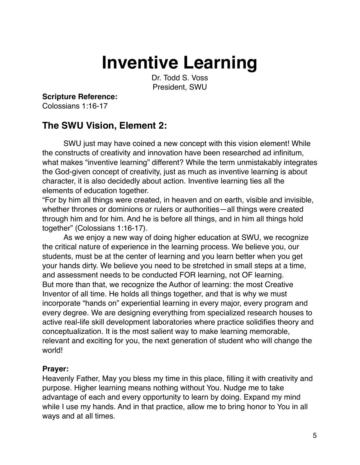## **Inventive Learning**

Dr. Todd S. Voss President, SWU

#### **Scripture Reference:**

Colossians 1:16-17

#### **The SWU Vision, Element 2:**

SWU just may have coined a new concept with this vision element! While the constructs of creativity and innovation have been researched ad infinitum, what makes "inventive learning" different? While the term unmistakably integrates the God-given concept of creativity, just as much as inventive learning is about character, it is also decidedly about action. Inventive learning ties all the elements of education together.

"For by him all things were created, in heaven and on earth, visible and invisible, whether thrones or dominions or rulers or authorities—all things were created through him and for him. And he is before all things, and in him all things hold together" (Colossians 1:16-17).

As we enjoy a new way of doing higher education at SWU, we recognize the critical nature of experience in the learning process. We believe you, our students, must be at the center of learning and you learn better when you get your hands dirty. We believe you need to be stretched in small steps at a time, and assessment needs to be conducted FOR learning, not OF learning. But more than that, we recognize the Author of learning: the most Creative Inventor of all time. He holds all things together, and that is why we must incorporate "hands on" experiential learning in every major, every program and every degree. We are designing everything from specialized research houses to active real-life skill development laboratories where practice solidifies theory and conceptualization. It is the most salient way to make learning memorable, relevant and exciting for you, the next generation of student who will change the world!

#### **Prayer:**

Heavenly Father, May you bless my time in this place, filling it with creativity and purpose. Higher learning means nothing without You. Nudge me to take advantage of each and every opportunity to learn by doing. Expand my mind while I use my hands. And in that practice, allow me to bring honor to You in all ways and at all times.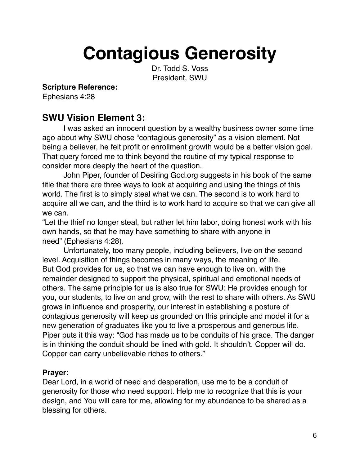# **Contagious Generosity**

Dr. Todd S. Voss President, SWU

#### **Scripture Reference:**

Ephesians 4:28

### **SWU Vision Element 3:**

I was asked an innocent question by a wealthy business owner some time ago about why SWU chose "contagious generosity" as a vision element. Not being a believer, he felt profit or enrollment growth would be a better vision goal. That query forced me to think beyond the routine of my typical response to consider more deeply the heart of the question.

John Piper, founder of Desiring God.org suggests in his book of the same title that there are three ways to look at acquiring and using the things of this world. The first is to simply steal what we can. The second is to work hard to acquire all we can, and the third is to work hard to acquire so that we can give all we can.

"Let the thief no longer steal, but rather let him labor, doing honest work with his own hands, so that he may have something to share with anyone in need" (Ephesians 4:28).

Unfortunately, too many people, including believers, live on the second level. Acquisition of things becomes in many ways, the meaning of life. But God provides for us, so that we can have enough to live on, with the remainder designed to support the physical, spiritual and emotional needs of others. The same principle for us is also true for SWU: He provides enough for you, our students, to live on and grow, with the rest to share with others. As SWU grows in influence and prosperity, our interest in establishing a posture of contagious generosity will keep us grounded on this principle and model it for a new generation of graduates like you to live a prosperous and generous life. Piper puts it this way: "God has made us to be conduits of his grace. The danger is in thinking the conduit should be lined with gold. It shouldn't. Copper will do. Copper can carry unbelievable riches to others."

#### **Prayer:**

Dear Lord, in a world of need and desperation, use me to be a conduit of generosity for those who need support. Help me to recognize that this is your design, and You will care for me, allowing for my abundance to be shared as a blessing for others.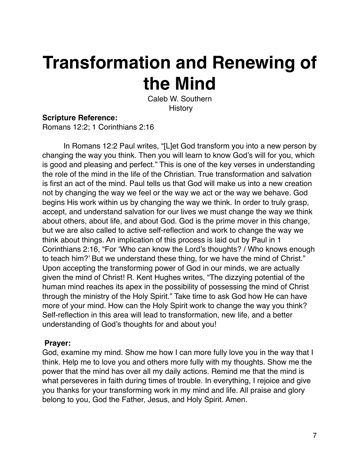# **Transformation and Renewing of the Mind**

Caleb W. Southern **History** 

#### **Scripture Reference:**

Romans 12:2; 1 Corinthians 2:16

In Romans 12:2 Paul writes, "[L]et God transform you into a new person by changing the way you think. Then you will learn to know God's will for you, which is good and pleasing and perfect." This is one of the key verses in understanding the role of the mind in the life of the Christian. True transformation and salvation is first an act of the mind. Paul tells us that God will make us into a new creation not by changing the way we feel or the way we act or the way we behave. God begins His work within us by changing the way we think. In order to truly grasp, accept, and understand salvation for our lives we must change the way we think about others, about life, and about God. God is the prime mover in this change, but we are also called to active self-reflection and work to change the way we think about things. An implication of this process is laid out by Paul in 1 Corinthians 2:16, "For 'Who can know the Lord's thoughts? / Who knows enough to teach him?' But we understand these thing, for we have the mind of Christ." Upon accepting the transforming power of God in our minds, we are actually given the mind of Christ! R. Kent Hughes writes, "The dizzying potential of the human mind reaches its apex in the possibility of possessing the mind of Christ through the ministry of the Holy Spirit." Take time to ask God how He can have more of your mind. How can the Holy Spirit work to change the way you think? Self-reflection in this area will lead to transformation, new life, and a better understanding of God's thoughts for and about you!

#### **Prayer:**

God, examine my mind. Show me how I can more fully love you in the way that I think. Help me to love you and others more fully with my thoughts. Show me the power that the mind has over all my daily actions. Remind me that the mind is what perseveres in faith during times of trouble. In everything, I rejoice and give you thanks for your transforming work in my mind and life. All praise and glory belong to you, God the Father, Jesus, and Holy Spirit. Amen.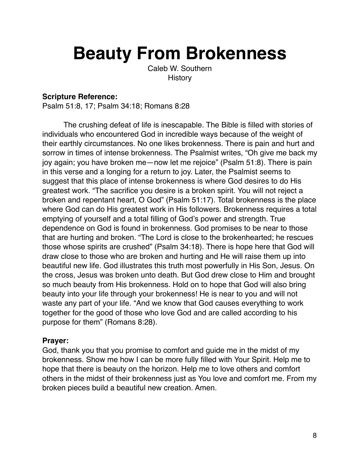# **Beauty From Brokenness**

Caleb W. Southern **History** 

#### **Scripture Reference:**

Psalm 51:8, 17; Psalm 34:18; Romans 8:28

The crushing defeat of life is inescapable. The Bible is filled with stories of individuals who encountered God in incredible ways because of the weight of their earthly circumstances. No one likes brokenness. There is pain and hurt and sorrow in times of intense brokenness. The Psalmist writes, "Oh give me back my joy again; you have broken me—now let me rejoice" (Psalm 51:8). There is pain in this verse and a longing for a return to joy. Later, the Psalmist seems to suggest that this place of intense brokenness is where God desires to do His greatest work. "The sacrifice you desire is a broken spirit. You will not reject a broken and repentant heart, O God" (Psalm 51:17). Total brokenness is the place where God can do His greatest work in His followers. Brokenness requires a total emptying of yourself and a total filling of God's power and strength. True dependence on God is found in brokenness. God promises to be near to those that are hurting and broken. "The Lord is close to the brokenhearted; he rescues those whose spirits are crushed" (Psalm 34:18). There is hope here that God will draw close to those who are broken and hurting and He will raise them up into beautiful new life. God illustrates this truth most powerfully in His Son, Jesus. On the cross, Jesus was broken unto death. But God drew close to Him and brought so much beauty from His brokenness. Hold on to hope that God will also bring beauty into your life through your brokenness! He is near to you and will not waste any part of your life. "And we know that God causes everything to work together for the good of those who love God and are called according to his purpose for them" (Romans 8:28).

#### **Prayer:**

God, thank you that you promise to comfort and guide me in the midst of my brokenness. Show me how I can be more fully filled with Your Spirit. Help me to hope that there is beauty on the horizon. Help me to love others and comfort others in the midst of their brokenness just as You love and comfort me. From my broken pieces build a beautiful new creation. Amen.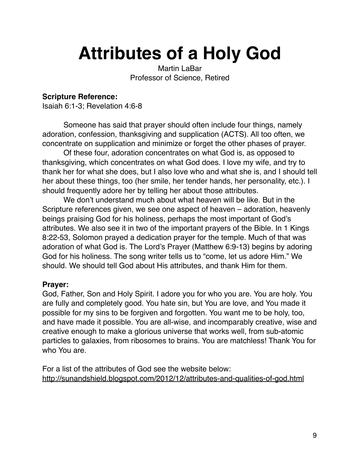# **Attributes of a Holy God**

Martin LaBar Professor of Science, Retired

#### **Scripture Reference:**

Isaiah 6:1-3; Revelation 4:6-8

Someone has said that prayer should often include four things, namely adoration, confession, thanksgiving and supplication (ACTS). All too often, we concentrate on supplication and minimize or forget the other phases of prayer.

Of these four, adoration concentrates on what God is, as opposed to thanksgiving, which concentrates on what God does. I love my wife, and try to thank her for what she does, but I also love who and what she is, and I should tell her about these things, too (her smile, her tender hands, her personality, etc.). I should frequently adore her by telling her about those attributes.

We don't understand much about what heaven will be like. But in the Scripture references given, we see one aspect of heaven – adoration, heavenly beings praising God for his holiness, perhaps the most important of God's attributes. We also see it in two of the important prayers of the Bible. In 1 Kings 8:22-53, Solomon prayed a dedication prayer for the temple. Much of that was adoration of what God is. The Lord's Prayer (Matthew 6:9-13) begins by adoring God for his holiness. The song writer tells us to "come, let us adore Him." We should. We should tell God about His attributes, and thank Him for them.

#### **Prayer:**

God, Father, Son and Holy Spirit. I adore you for who you are. You are holy. You are fully and completely good. You hate sin, but You are love, and You made it possible for my sins to be forgiven and forgotten. You want me to be holy, too, and have made it possible. You are all-wise, and incomparably creative, wise and creative enough to make a glorious universe that works well, from sub-atomic particles to galaxies, from ribosomes to brains. You are matchless! Thank You for who You are.

For a list of the attributes of God see the website below: <http://sunandshield.blogspot.com/2012/12/attributes-and-qualities-of-god.html>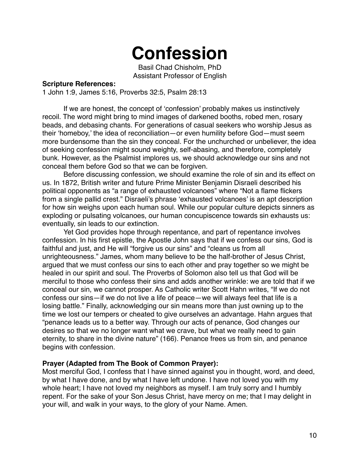### **Confession**

Basil Chad Chisholm, PhD Assistant Professor of English

#### **Scripture References:**

1 John 1:9, James 5:16, Proverbs 32:5, Psalm 28:13

If we are honest, the concept of 'confession' probably makes us instinctively recoil. The word might bring to mind images of darkened booths, robed men, rosary beads, and debasing chants. For generations of casual seekers who worship Jesus as their 'homeboy,' the idea of reconciliation—or even humility before God—must seem more burdensome than the sin they conceal. For the unchurched or unbeliever, the idea of seeking confession might sound weighty, self-abasing, and therefore, completely bunk. However, as the Psalmist implores us, we should acknowledge our sins and not conceal them before God so that we can be forgiven.

Before discussing confession, we should examine the role of sin and its effect on us. In 1872, British writer and future Prime Minister Benjamin Disraeli described his political opponents as "a range of exhausted volcanoes" where "Not a flame flickers from a single pallid crest." Disraeli's phrase 'exhausted volcanoes' is an apt description for how sin weighs upon each human soul. While our popular culture depicts sinners as exploding or pulsating volcanoes, our human concupiscence towards sin exhausts us: eventually, sin leads to our extinction.

Yet God provides hope through repentance, and part of repentance involves confession. In his first epistle, the Apostle John says that if we confess our sins, God is faithful and just, and He will "forgive us our sins" and "cleans us from all unrighteousness." James, whom many believe to be the half-brother of Jesus Christ, argued that we must confess our sins to each other and pray together so we might be healed in our spirit and soul. The Proverbs of Solomon also tell us that God will be merciful to those who confess their sins and adds another wrinkle: we are told that if we conceal our sin, we cannot prosper. As Catholic writer Scott Hahn writes, "If we do not confess our sins—if we do not live a life of peace—we will always feel that life is a losing battle." Finally, acknowledging our sin means more than just owning up to the time we lost our tempers or cheated to give ourselves an advantage. Hahn argues that "penance leads us to a better way. Through our acts of penance, God changes our desires so that we no longer want what we crave, but what we really need to gain eternity, to share in the divine nature" (166). Penance frees us from sin, and penance begins with confession.

#### **Prayer (Adapted from The Book of Common Prayer):**

Most merciful God, I confess that I have sinned against you in thought, word, and deed, by what I have done, and by what I have left undone. I have not loved you with my whole heart; I have not loved my neighbors as myself. I am truly sorry and I humbly repent. For the sake of your Son Jesus Christ, have mercy on me; that I may delight in your will, and walk in your ways, to the glory of your Name. Amen.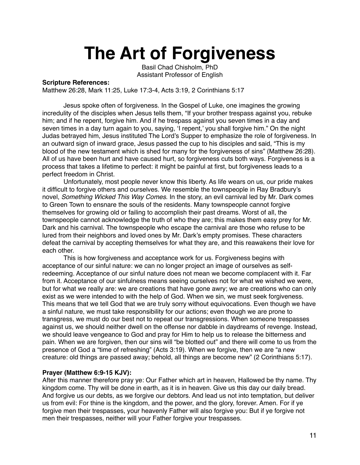## **The Art of Forgiveness**

Basil Chad Chisholm, PhD Assistant Professor of English

#### **Scripture References:**

Matthew 26:28, Mark 11:25, Luke 17:3-4, Acts 3:19, 2 Corinthians 5:17

Jesus spoke often of forgiveness. In the Gospel of Luke, one imagines the growing incredulity of the disciples when Jesus tells them, "If your brother trespass against you, rebuke him; and if he repent, forgive him. And if he trespass against you seven times in a day and seven times in a day turn again to you, saying, 'I repent,' you shall forgive him." On the night Judas betrayed him, Jesus instituted The Lord's Supper to emphasize the role of forgiveness. In an outward sign of inward grace, Jesus passed the cup to his disciples and said, "This is my blood of the new testament which is shed for many for the forgiveness of sins" (Matthew 26:28). All of us have been hurt and have caused hurt, so forgiveness cuts both ways. Forgiveness is a process that takes a lifetime to perfect: it might be painful at first, but forgiveness leads to a perfect freedom in Christ.

Unfortunately, most people never know this liberty. As life wears on us, our pride makes it difficult to forgive others and ourselves. We resemble the townspeople in Ray Bradbury's novel, *Something Wicked This Way Comes*. In the story, an evil carnival led by Mr. Dark comes to Green Town to ensnare the souls of the residents. Many townspeople cannot forgive themselves for growing old or failing to accomplish their past dreams. Worst of all, the townspeople cannot acknowledge the truth of who they are; this makes them easy prey for Mr. Dark and his carnival. The townspeople who escape the carnival are those who refuse to be lured from their neighbors and loved ones by Mr. Dark's empty promises. These characters defeat the carnival by accepting themselves for what they are, and this reawakens their love for each other.

This is how forgiveness and acceptance work for us. Forgiveness begins with acceptance of our sinful nature: we can no longer project an image of ourselves as selfredeeming. Acceptance of our sinful nature does not mean we become complacent with it. Far from it. Acceptance of our sinfulness means seeing ourselves not for what we wished we were, but for what we really are: we are creations that have gone awry; we are creations who can only exist as we were intended to with the help of God. When we sin, we must seek forgiveness. This means that we tell God that we are truly sorry without equivocations. Even though we have a sinful nature, we must take responsibility for our actions; even though we are prone to transgress, we must do our best not to repeat our transgressions. When someone trespasses against us, we should neither dwell on the offense nor dabble in daydreams of revenge. Instead, we should leave vengeance to God and pray for Him to help us to release the bitterness and pain. When we are forgiven, then our sins will "be blotted out" and there will come to us from the presence of God a "time of refreshing" (Acts 3:19). When we forgive, then we are "a new creature: old things are passed away; behold, all things are become new" (2 Corinthians 5:17).

#### **Prayer (Matthew 6:9-15 KJV):**

After this manner therefore pray ye: Our Father which art in heaven, Hallowed be thy name. Thy kingdom come. Thy will be done in earth, as it is in heaven. Give us this day our daily bread. And forgive us our debts, as we forgive our debtors. And lead us not into temptation, but deliver us from evil: For thine is the kingdom, and the power, and the glory, forever. Amen. For if ye forgive men their trespasses, your heavenly Father will also forgive you: But if ye forgive not men their trespasses, neither will your Father forgive your trespasses.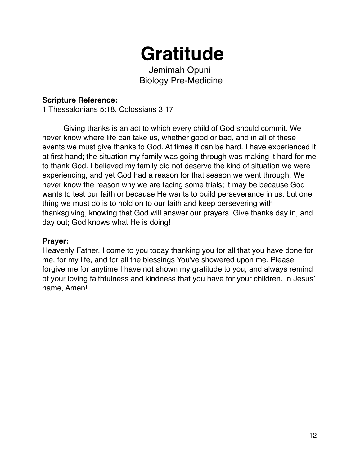# **Gratitude**

Jemimah Opuni Biology Pre-Medicine

#### **Scripture Reference:**

1 Thessalonians 5:18, Colossians 3:17

Giving thanks is an act to which every child of God should commit. We never know where life can take us, whether good or bad, and in all of these events we must give thanks to God. At times it can be hard. I have experienced it at first hand; the situation my family was going through was making it hard for me to thank God. I believed my family did not deserve the kind of situation we were experiencing, and yet God had a reason for that season we went through. We never know the reason why we are facing some trials; it may be because God wants to test our faith or because He wants to build perseverance in us, but one thing we must do is to hold on to our faith and keep persevering with thanksgiving, knowing that God will answer our prayers. Give thanks day in, and day out; God knows what He is doing!

#### **Prayer:**

Heavenly Father, I come to you today thanking you for all that you have done for me, for my life, and for all the blessings You've showered upon me. Please forgive me for anytime I have not shown my gratitude to you, and always remind of your loving faithfulness and kindness that you have for your children. In Jesus' name, Amen!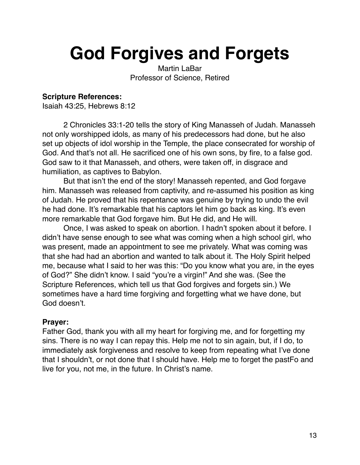# **God Forgives and Forgets**

Martin LaBar Professor of Science, Retired

#### **Scripture References:**

Isaiah 43:25, Hebrews 8:12

2 Chronicles 33:1-20 tells the story of King Manasseh of Judah. Manasseh not only worshipped idols, as many of his predecessors had done, but he also set up objects of idol worship in the Temple, the place consecrated for worship of God. And that's not all. He sacrificed one of his own sons, by fire, to a false god. God saw to it that Manasseh, and others, were taken off, in disgrace and humiliation, as captives to Babylon.

But that isn't the end of the story! Manasseh repented, and God forgave him. Manasseh was released from captivity, and re-assumed his position as king of Judah. He proved that his repentance was genuine by trying to undo the evil he had done. It's remarkable that his captors let him go back as king. It's even more remarkable that God forgave him. But He did, and He will.

Once, I was asked to speak on abortion. I hadn't spoken about it before. I didn't have sense enough to see what was coming when a high school girl, who was present, made an appointment to see me privately. What was coming was that she had had an abortion and wanted to talk about it. The Holy Spirit helped me, because what I said to her was this: "Do you know what you are, in the eyes of God?" She didn't know. I said "you're a virgin!" And she was. (See the Scripture References, which tell us that God forgives and forgets sin.) We sometimes have a hard time forgiving and forgetting what we have done, but God doesn't.

#### **Prayer:**

Father God, thank you with all my heart for forgiving me, and for forgetting my sins. There is no way I can repay this. Help me not to sin again, but, if I do, to immediately ask forgiveness and resolve to keep from repeating what I've done that I shouldn't, or not done that I should have. Help me to forget the pastFo and live for you, not me, in the future. In Christ's name.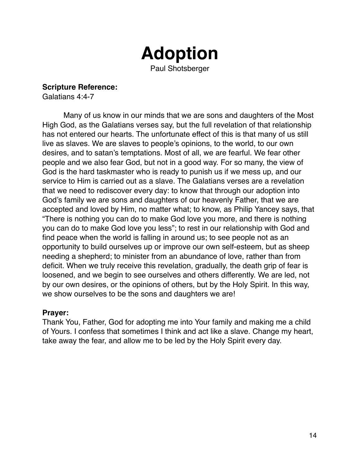# **Adoption**

Paul Shotsberger

**Scripture Reference:** 

Galatians 4:4-7

Many of us know in our minds that we are sons and daughters of the Most High God, as the Galatians verses say, but the full revelation of that relationship has not entered our hearts. The unfortunate effect of this is that many of us still live as slaves. We are slaves to people's opinions, to the world, to our own desires, and to satan's temptations. Most of all, we are fearful. We fear other people and we also fear God, but not in a good way. For so many, the view of God is the hard taskmaster who is ready to punish us if we mess up, and our service to Him is carried out as a slave. The Galatians verses are a revelation that we need to rediscover every day: to know that through our adoption into God's family we are sons and daughters of our heavenly Father, that we are accepted and loved by Him, no matter what; to know, as Philip Yancey says, that "There is nothing you can do to make God love you more, and there is nothing you can do to make God love you less"; to rest in our relationship with God and find peace when the world is falling in around us; to see people not as an opportunity to build ourselves up or improve our own self-esteem, but as sheep needing a shepherd; to minister from an abundance of love, rather than from deficit. When we truly receive this revelation, gradually, the death grip of fear is loosened, and we begin to see ourselves and others differently. We are led, not by our own desires, or the opinions of others, but by the Holy Spirit. In this way, we show ourselves to be the sons and daughters we are!

#### **Prayer:**

Thank You, Father, God for adopting me into Your family and making me a child of Yours. I confess that sometimes I think and act like a slave. Change my heart, take away the fear, and allow me to be led by the Holy Spirit every day.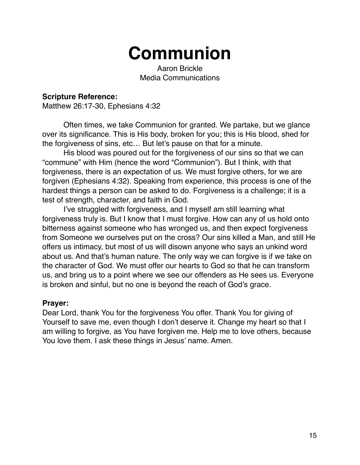## **Communion**

Aaron Brickle Media Communications

#### **Scripture Reference:**

Matthew 26:17-30, Ephesians 4:32

Often times, we take Communion for granted. We partake, but we glance over its significance. This is His body, broken for you; this is His blood, shed for the forgiveness of sins, etc… But let's pause on that for a minute.

His blood was poured out for the forgiveness of our sins so that we can "commune" with Him (hence the word "Communion"). But I think, with that forgiveness, there is an expectation of us. We must forgive others, for we are forgiven (Ephesians 4:32). Speaking from experience, this process is one of the hardest things a person can be asked to do. Forgiveness is a challenge; it is a test of strength, character, and faith in God.

I've struggled with forgiveness, and I myself am still learning what forgiveness truly is. But I know that I must forgive. How can any of us hold onto bitterness against someone who has wronged us, and then expect forgiveness from Someone we ourselves put on the cross? Our sins killed a Man, and still He offers us intimacy, but most of us will disown anyone who says an unkind word about us. And that's human nature. The only way we can forgive is if we take on the character of God. We must offer our hearts to God so that he can transform us, and bring us to a point where we see our offenders as He sees us. Everyone is broken and sinful, but no one is beyond the reach of God's grace.

#### **Prayer:**

Dear Lord, thank You for the forgiveness You offer. Thank You for giving of Yourself to save me, even though I don't deserve it. Change my heart so that I am willing to forgive, as You have forgiven me. Help me to love others, because You love them. I ask these things in Jesus' name. Amen.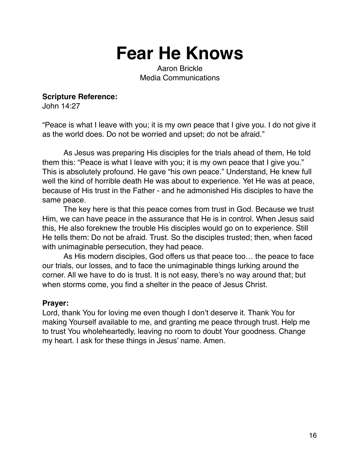**Fear He Knows**

Aaron Brickle Media Communications

**Scripture Reference:** 

John 14:27

"Peace is what I leave with you; it is my own peace that I give you. I do not give it as the world does. Do not be worried and upset; do not be afraid."

As Jesus was preparing His disciples for the trials ahead of them, He told them this: "Peace is what I leave with you; it is my own peace that I give you." This is absolutely profound. He gave "his own peace." Understand, He knew full well the kind of horrible death He was about to experience. Yet He was at peace, because of His trust in the Father - and he admonished His disciples to have the same peace.

The key here is that this peace comes from trust in God. Because we trust Him, we can have peace in the assurance that He is in control. When Jesus said this, He also foreknew the trouble His disciples would go on to experience. Still He tells them: Do not be afraid. Trust. So the disciples trusted; then, when faced with unimaginable persecution, they had peace.

As His modern disciples, God offers us that peace too… the peace to face our trials, our losses, and to face the unimaginable things lurking around the corner. All we have to do is trust. It is not easy, there's no way around that; but when storms come, you find a shelter in the peace of Jesus Christ.

#### **Prayer:**

Lord, thank You for loving me even though I don't deserve it. Thank You for making Yourself available to me, and granting me peace through trust. Help me to trust You wholeheartedly, leaving no room to doubt Your goodness. Change my heart. I ask for these things in Jesus' name. Amen.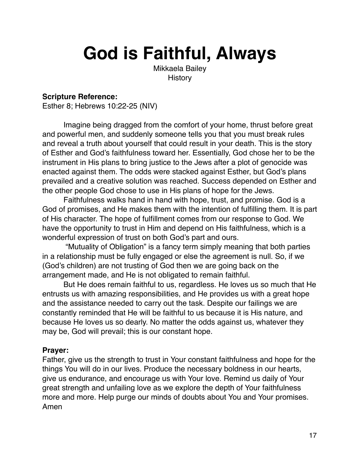# **God is Faithful, Always**

Mikkaela Bailey **History** 

#### **Scripture Reference:**

Esther 8; Hebrews 10:22-25 (NIV)

Imagine being dragged from the comfort of your home, thrust before great and powerful men, and suddenly someone tells you that you must break rules and reveal a truth about yourself that could result in your death. This is the story of Esther and God's faithfulness toward her. Essentially, God chose her to be the instrument in His plans to bring justice to the Jews after a plot of genocide was enacted against them. The odds were stacked against Esther, but God's plans prevailed and a creative solution was reached. Success depended on Esther and the other people God chose to use in His plans of hope for the Jews.

Faithfulness walks hand in hand with hope, trust, and promise. God is a God of promises, and He makes them with the intention of fulfilling them. It is part of His character. The hope of fulfillment comes from our response to God. We have the opportunity to trust in Him and depend on His faithfulness, which is a wonderful expression of trust on both God's part and ours.

 "Mutuality of Obligation" is a fancy term simply meaning that both parties in a relationship must be fully engaged or else the agreement is null. So, if we (God's children) are not trusting of God then we are going back on the arrangement made, and He is not obligated to remain faithful.

But He does remain faithful to us, regardless. He loves us so much that He entrusts us with amazing responsibilities, and He provides us with a great hope and the assistance needed to carry out the task. Despite our failings we are constantly reminded that He will be faithful to us because it is His nature, and because He loves us so dearly. No matter the odds against us, whatever they may be, God will prevail; this is our constant hope.

#### **Prayer:**

Father, give us the strength to trust in Your constant faithfulness and hope for the things You will do in our lives. Produce the necessary boldness in our hearts, give us endurance, and encourage us with Your love. Remind us daily of Your great strength and unfailing love as we explore the depth of Your faithfulness more and more. Help purge our minds of doubts about You and Your promises. Amen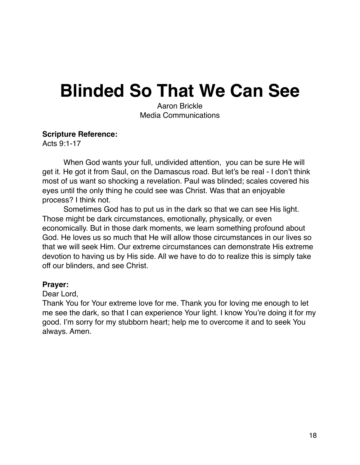## **Blinded So That We Can See**

Aaron Brickle Media Communications

#### **Scripture Reference:**

Acts 9:1-17

When God wants your full, undivided attention, you can be sure He will get it. He got it from Saul, on the Damascus road. But let's be real - I don't think most of us want so shocking a revelation. Paul was blinded; scales covered his eyes until the only thing he could see was Christ. Was that an enjoyable process? I think not.

Sometimes God has to put us in the dark so that we can see His light. Those might be dark circumstances, emotionally, physically, or even economically. But in those dark moments, we learn something profound about God. He loves us so much that He will allow those circumstances in our lives so that we will seek Him. Our extreme circumstances can demonstrate His extreme devotion to having us by His side. All we have to do to realize this is simply take off our blinders, and see Christ.

#### **Prayer:**

Dear Lord,

Thank You for Your extreme love for me. Thank you for loving me enough to let me see the dark, so that I can experience Your light. I know You're doing it for my good. I'm sorry for my stubborn heart; help me to overcome it and to seek You always. Amen.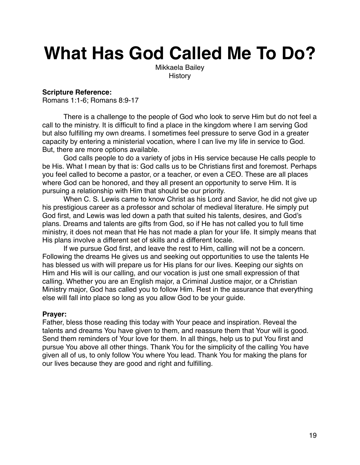# **What Has God Called Me To Do?**

Mikkaela Bailey **History** 

#### **Scripture Reference:**

Romans 1:1-6; Romans 8:9-17

There is a challenge to the people of God who look to serve Him but do not feel a call to the ministry. It is difficult to find a place in the kingdom where I am serving God but also fulfilling my own dreams. I sometimes feel pressure to serve God in a greater capacity by entering a ministerial vocation, where I can live my life in service to God. But, there are more options available.

God calls people to do a variety of jobs in His service because He calls people to be His. What I mean by that is: God calls us to be Christians first and foremost. Perhaps you feel called to become a pastor, or a teacher, or even a CEO. These are all places where God can be honored, and they all present an opportunity to serve Him. It is pursuing a relationship with Him that should be our priority.

When C. S. Lewis came to know Christ as his Lord and Savior, he did not give up his prestigious career as a professor and scholar of medieval literature. He simply put God first, and Lewis was led down a path that suited his talents, desires, and God's plans. Dreams and talents are gifts from God, so if He has not called you to full time ministry, it does not mean that He has not made a plan for your life. It simply means that His plans involve a different set of skills and a different locale.

If we pursue God first, and leave the rest to Him, calling will not be a concern. Following the dreams He gives us and seeking out opportunities to use the talents He has blessed us with will prepare us for His plans for our lives. Keeping our sights on Him and His will is our calling, and our vocation is just one small expression of that calling. Whether you are an English major, a Criminal Justice major, or a Christian Ministry major, God has called you to follow Him. Rest in the assurance that everything else will fall into place so long as you allow God to be your guide.

#### **Prayer:**

Father, bless those reading this today with Your peace and inspiration. Reveal the talents and dreams You have given to them, and reassure them that Your will is good. Send them reminders of Your love for them. In all things, help us to put You first and pursue You above all other things. Thank You for the simplicity of the calling You have given all of us, to only follow You where You lead. Thank You for making the plans for our lives because they are good and right and fulfilling.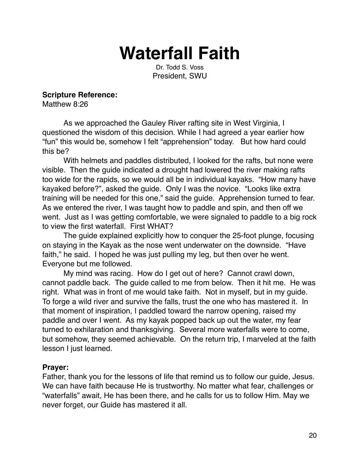### **Waterfall Faith**

Dr. Todd S. Voss President, SWU

**Scripture Reference:** 

Matthew 8:26

As we approached the Gauley River rafting site in West Virginia, I questioned the wisdom of this decision. While I had agreed a year earlier how "fun" this would be, somehow I felt "apprehension" today. But how hard could this be?

With helmets and paddles distributed, I looked for the rafts, but none were visible. Then the guide indicated a drought had lowered the river making rafts too wide for the rapids, so we would all be in individual kayaks. "How many have kayaked before?", asked the guide. Only I was the novice. "Looks like extra training will be needed for this one," said the guide. Apprehension turned to fear. As we entered the river, I was taught how to paddle and spin, and then off we went. Just as I was getting comfortable, we were signaled to paddle to a big rock to view the first waterfall. First WHAT?

The guide explained explicitly how to conquer the 25-foot plunge, focusing on staying in the Kayak as the nose went underwater on the downside. "Have faith," he said. I hoped he was just pulling my leg, but then over he went. Everyone but me followed.

My mind was racing. How do I get out of here? Cannot crawl down, cannot paddle back. The guide called to me from below. Then it hit me. He was right. What was in front of me would take faith. Not in myself, but in my guide. To forge a wild river and survive the falls, trust the one who has mastered it. In that moment of inspiration, I paddled toward the narrow opening, raised my paddle and over I went. As my kayak popped back up out the water, my fear turned to exhilaration and thanksgiving. Several more waterfalls were to come, but somehow, they seemed achievable. On the return trip, I marveled at the faith lesson I just learned.

#### **Prayer:**

Father, thank you for the lessons of life that remind us to follow our guide, Jesus. We can have faith because He is trustworthy. No matter what fear, challenges or "waterfalls" await, He has been there, and he calls for us to follow Him. May we never forget, our Guide has mastered it all.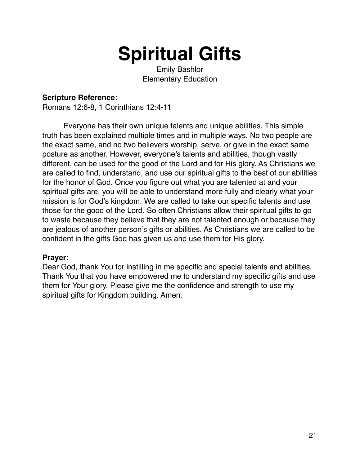# **Spiritual Gifts**

Emily Bashlor Elementary Education

#### **Scripture Reference:**

Romans 12:6-8, 1 Corinthians 12:4-11

Everyone has their own unique talents and unique abilities. This simple truth has been explained multiple times and in multiple ways. No two people are the exact same, and no two believers worship, serve, or give in the exact same posture as another. However, everyone's talents and abilities, though vastly different, can be used for the good of the Lord and for His glory. As Christians we are called to find, understand, and use our spiritual gifts to the best of our abilities for the honor of God. Once you figure out what you are talented at and your spiritual gifts are, you will be able to understand more fully and clearly what your mission is for God's kingdom. We are called to take our specific talents and use those for the good of the Lord. So often Christians allow their spiritual gifts to go to waste because they believe that they are not talented enough or because they are jealous of another person's gifts or abilities. As Christians we are called to be confident in the gifts God has given us and use them for His glory.

#### **Prayer:**

Dear God, thank You for instilling in me specific and special talents and abilities. Thank You that you have empowered me to understand my specific gifts and use them for Your glory. Please give me the confidence and strength to use my spiritual gifts for Kingdom building. Amen.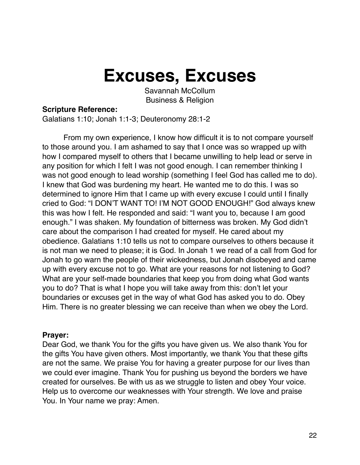### **Excuses, Excuses**

Savannah McCollum Business & Religion

#### **Scripture Reference:**

Galatians 1:10; Jonah 1:1-3; Deuteronomy 28:1-2

 From my own experience, I know how difficult it is to not compare yourself to those around you. I am ashamed to say that I once was so wrapped up with how I compared myself to others that I became unwilling to help lead or serve in any position for which I felt I was not good enough. I can remember thinking I was not good enough to lead worship (something I feel God has called me to do). I knew that God was burdening my heart. He wanted me to do this. I was so determined to ignore Him that I came up with every excuse I could until I finally cried to God: "I DON'T WANT TO! I'M NOT GOOD ENOUGH!" God always knew this was how I felt. He responded and said: "I want you to, because I am good enough." I was shaken. My foundation of bitterness was broken. My God didn't care about the comparison I had created for myself. He cared about my obedience. Galatians 1:10 tells us not to compare ourselves to others because it is not man we need to please; it is God. In Jonah 1 we read of a call from God for Jonah to go warn the people of their wickedness, but Jonah disobeyed and came up with every excuse not to go. What are your reasons for not listening to God? What are your self-made boundaries that keep you from doing what God wants you to do? That is what I hope you will take away from this: don't let your boundaries or excuses get in the way of what God has asked you to do. Obey Him. There is no greater blessing we can receive than when we obey the Lord.

#### **Prayer:**

Dear God, we thank You for the gifts you have given us. We also thank You for the gifts You have given others. Most importantly, we thank You that these gifts are not the same. We praise You for having a greater purpose for our lives than we could ever imagine. Thank You for pushing us beyond the borders we have created for ourselves. Be with us as we struggle to listen and obey Your voice. Help us to overcome our weaknesses with Your strength. We love and praise You. In Your name we pray: Amen.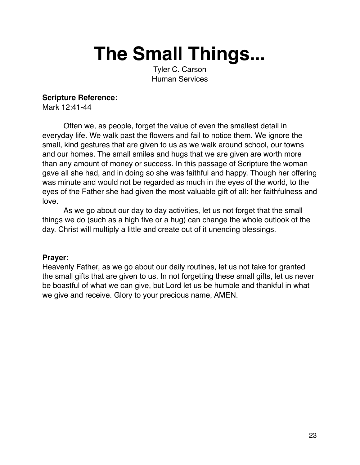# **The Small Things...**

Tyler C. Carson Human Services

#### **Scripture Reference:**

Mark 12:41-44

Often we, as people, forget the value of even the smallest detail in everyday life. We walk past the flowers and fail to notice them. We ignore the small, kind gestures that are given to us as we walk around school, our towns and our homes. The small smiles and hugs that we are given are worth more than any amount of money or success. In this passage of Scripture the woman gave all she had, and in doing so she was faithful and happy. Though her offering was minute and would not be regarded as much in the eyes of the world, to the eyes of the Father she had given the most valuable gift of all: her faithfulness and love.

As we go about our day to day activities, let us not forget that the small things we do (such as a high five or a hug) can change the whole outlook of the day. Christ will multiply a little and create out of it unending blessings.

#### **Prayer:**

Heavenly Father, as we go about our daily routines, let us not take for granted the small gifts that are given to us. In not forgetting these small gifts, let us never be boastful of what we can give, but Lord let us be humble and thankful in what we give and receive. Glory to your precious name, AMEN.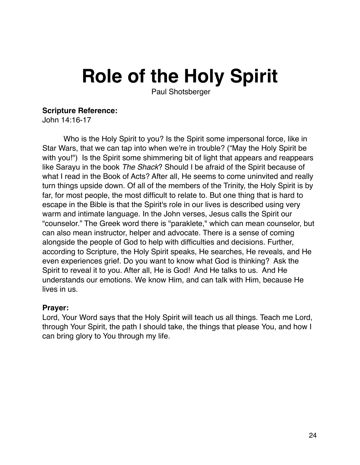# **Role of the Holy Spirit**

Paul Shotsberger

#### **Scripture Reference:**

John 14:16-17

Who is the Holy Spirit to you? Is the Spirit some impersonal force, like in Star Wars, that we can tap into when we're in trouble? ("May the Holy Spirit be with you!") Is the Spirit some shimmering bit of light that appears and reappears like Sarayu in the book *The Shack*? Should I be afraid of the Spirit because of what I read in the Book of Acts? After all, He seems to come uninvited and really turn things upside down. Of all of the members of the Trinity, the Holy Spirit is by far, for most people, the most difficult to relate to. But one thing that is hard to escape in the Bible is that the Spirit's role in our lives is described using very warm and intimate language. In the John verses, Jesus calls the Spirit our "counselor." The Greek word there is "paraklete," which can mean counselor, but can also mean instructor, helper and advocate. There is a sense of coming alongside the people of God to help with difficulties and decisions. Further, according to Scripture, the Holy Spirit speaks, He searches, He reveals, and He even experiences grief. Do you want to know what God is thinking? Ask the Spirit to reveal it to you. After all, He is God! And He talks to us. And He understands our emotions. We know Him, and can talk with Him, because He lives in us.

#### **Prayer:**

Lord, Your Word says that the Holy Spirit will teach us all things. Teach me Lord, through Your Spirit, the path I should take, the things that please You, and how I can bring glory to You through my life.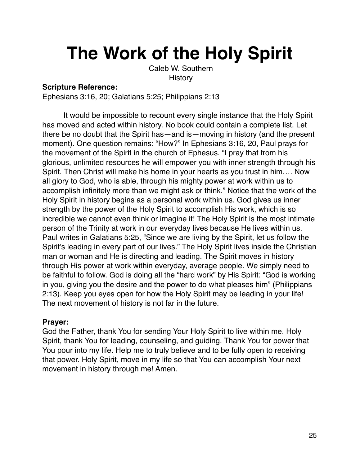# **The Work of the Holy Spirit**

 Caleb W. Southern **History** 

#### **Scripture Reference:**

Ephesians 3:16, 20; Galatians 5:25; Philippians 2:13

It would be impossible to recount every single instance that the Holy Spirit has moved and acted within history. No book could contain a complete list. Let there be no doubt that the Spirit has—and is—moving in history (and the present moment). One question remains: "How?" In Ephesians 3:16, 20, Paul prays for the movement of the Spirit in the church of Ephesus. "I pray that from his glorious, unlimited resources he will empower you with inner strength through his Spirit. Then Christ will make his home in your hearts as you trust in him…. Now all glory to God, who is able, through his mighty power at work within us to accomplish infinitely more than we might ask or think." Notice that the work of the Holy Spirit in history begins as a personal work within us. God gives us inner strength by the power of the Holy Spirit to accomplish His work, which is so incredible we cannot even think or imagine it! The Holy Spirit is the most intimate person of the Trinity at work in our everyday lives because He lives within us. Paul writes in Galatians 5:25, "Since we are living by the Spirit, let us follow the Spirit's leading in every part of our lives." The Holy Spirit lives inside the Christian man or woman and He is directing and leading. The Spirit moves in history through His power at work within everyday, average people. We simply need to be faithful to follow. God is doing all the "hard work" by His Spirit: "God is working in you, giving you the desire and the power to do what pleases him" (Philippians 2:13). Keep you eyes open for how the Holy Spirit may be leading in your life! The next movement of history is not far in the future.

#### **Prayer:**

God the Father, thank You for sending Your Holy Spirit to live within me. Holy Spirit, thank You for leading, counseling, and guiding. Thank You for power that You pour into my life. Help me to truly believe and to be fully open to receiving that power. Holy Spirit, move in my life so that You can accomplish Your next movement in history through me! Amen.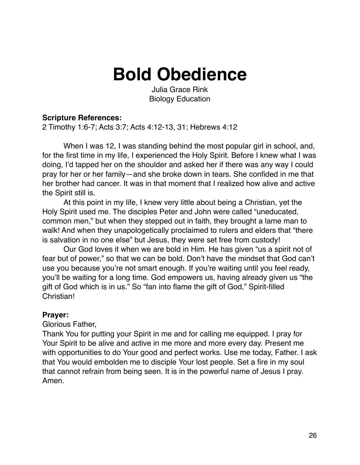### **Bold Obedience**

Julia Grace Rink Biology Education

#### **Scripture References:**

2 Timothy 1:6-7; Acts 3:7; Acts 4:12-13, 31; Hebrews 4:12

When I was 12, I was standing behind the most popular girl in school, and, for the first time in my life, I experienced the Holy Spirit. Before I knew what I was doing, I'd tapped her on the shoulder and asked her if there was any way I could pray for her or her family—and she broke down in tears. She confided in me that her brother had cancer. It was in that moment that I realized how alive and active the Spirit still is.

At this point in my life, I knew very little about being a Christian, yet the Holy Spirit used me. The disciples Peter and John were called "uneducated, common men," but when they stepped out in faith, they brought a lame man to walk! And when they unapologetically proclaimed to rulers and elders that "there is salvation in no one else" but Jesus, they were set free from custody!

Our God loves it when we are bold in Him. He has given "us a spirit not of fear but of power," so that we can be bold. Don't have the mindset that God can't use you because you're not smart enough. If you're waiting until you feel ready, you'll be waiting for a long time. God empowers us, having already given us "the gift of God which is in us." So "fan into flame the gift of God," Spirit-filled Christian!

#### **Prayer:**

Glorious Father,

Thank You for putting your Spirit in me and for calling me equipped. I pray for Your Spirit to be alive and active in me more and more every day. Present me with opportunities to do Your good and perfect works. Use me today, Father. I ask that You would embolden me to disciple Your lost people. Set a fire in my soul that cannot refrain from being seen. It is in the powerful name of Jesus I pray. Amen.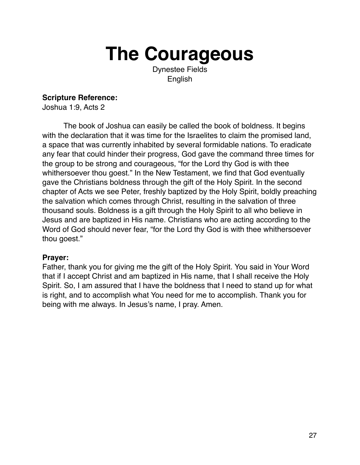# **The Courageous**

Dynestee Fields English

#### **Scripture Reference:**

Joshua 1:9, Acts 2

The book of Joshua can easily be called the book of boldness. It begins with the declaration that it was time for the Israelites to claim the promised land, a space that was currently inhabited by several formidable nations. To eradicate any fear that could hinder their progress, God gave the command three times for the group to be strong and courageous, "for the Lord thy God is with thee whithersoever thou goest." In the New Testament, we find that God eventually gave the Christians boldness through the gift of the Holy Spirit. In the second chapter of Acts we see Peter, freshly baptized by the Holy Spirit, boldly preaching the salvation which comes through Christ, resulting in the salvation of three thousand souls. Boldness is a gift through the Holy Spirit to all who believe in Jesus and are baptized in His name. Christians who are acting according to the Word of God should never fear, "for the Lord thy God is with thee whithersoever thou goest."

#### **Prayer:**

Father, thank you for giving me the gift of the Holy Spirit. You said in Your Word that if I accept Christ and am baptized in His name, that I shall receive the Holy Spirit. So, I am assured that I have the boldness that I need to stand up for what is right, and to accomplish what You need for me to accomplish. Thank you for being with me always. In Jesus's name, I pray. Amen.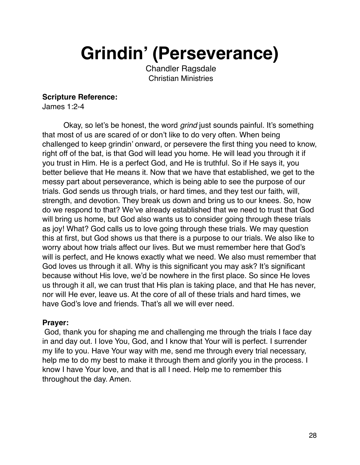**Grindin' (Perseverance)**

 Chandler Ragsdale Christian Ministries

#### **Scripture Reference:**

James 1:2-4

Okay, so let's be honest, the word *grind* just sounds painful. It's something that most of us are scared of or don't like to do very often. When being challenged to keep grindin' onward, or persevere the first thing you need to know, right off of the bat, is that God will lead you home. He will lead you through it if you trust in Him. He is a perfect God, and He is truthful. So if He says it, you better believe that He means it. Now that we have that established, we get to the messy part about perseverance, which is being able to see the purpose of our trials. God sends us through trials, or hard times, and they test our faith, will, strength, and devotion. They break us down and bring us to our knees. So, how do we respond to that? We've already established that we need to trust that God will bring us home, but God also wants us to consider going through these trials as joy! What? God calls us to love going through these trials. We may question this at first, but God shows us that there is a purpose to our trials. We also like to worry about how trials affect our lives. But we must remember here that God's will is perfect, and He knows exactly what we need. We also must remember that God loves us through it all. Why is this significant you may ask? It's significant because without His love, we'd be nowhere in the first place. So since He loves us through it all, we can trust that His plan is taking place, and that He has never, nor will He ever, leave us. At the core of all of these trials and hard times, we have God's love and friends. That's all we will ever need.

#### **Prayer:**

 God, thank you for shaping me and challenging me through the trials I face day in and day out. I love You, God, and I know that Your will is perfect. I surrender my life to you. Have Your way with me, send me through every trial necessary, help me to do my best to make it through them and glorify you in the process. I know I have Your love, and that is all I need. Help me to remember this throughout the day. Amen.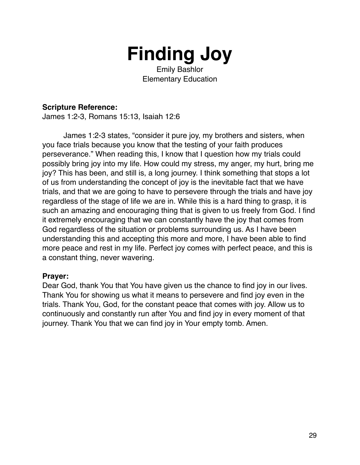

Emily Bashlor Elementary Education

#### **Scripture Reference:**

James 1:2-3, Romans 15:13, Isaiah 12:6

James 1:2-3 states, "consider it pure joy, my brothers and sisters, when you face trials because you know that the testing of your faith produces perseverance." When reading this, I know that I question how my trials could possibly bring joy into my life. How could my stress, my anger, my hurt, bring me joy? This has been, and still is, a long journey. I think something that stops a lot of us from understanding the concept of joy is the inevitable fact that we have trials, and that we are going to have to persevere through the trials and have joy regardless of the stage of life we are in. While this is a hard thing to grasp, it is such an amazing and encouraging thing that is given to us freely from God. I find it extremely encouraging that we can constantly have the joy that comes from God regardless of the situation or problems surrounding us. As I have been understanding this and accepting this more and more, I have been able to find more peace and rest in my life. Perfect joy comes with perfect peace, and this is a constant thing, never wavering.

#### **Prayer:**

Dear God, thank You that You have given us the chance to find joy in our lives. Thank You for showing us what it means to persevere and find joy even in the trials. Thank You, God, for the constant peace that comes with joy. Allow us to continuously and constantly run after You and find joy in every moment of that journey. Thank You that we can find joy in Your empty tomb. Amen.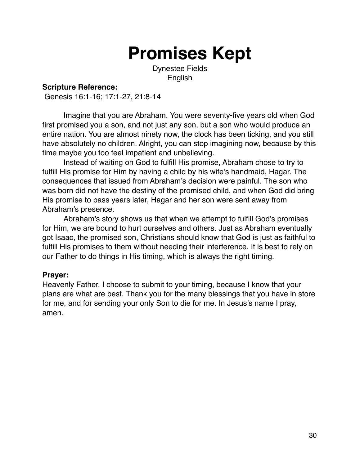## **Promises Kept**

Dynestee Fields English

#### **Scripture Reference:**

Genesis 16:1-16; 17:1-27, 21:8-14

Imagine that you are Abraham. You were seventy-five years old when God first promised you a son, and not just any son, but a son who would produce an entire nation. You are almost ninety now, the clock has been ticking, and you still have absolutely no children. Alright, you can stop imagining now, because by this time maybe you too feel impatient and unbelieving.

Instead of waiting on God to fulfill His promise, Abraham chose to try to fulfill His promise for Him by having a child by his wife's handmaid, Hagar. The consequences that issued from Abraham's decision were painful. The son who was born did not have the destiny of the promised child, and when God did bring His promise to pass years later, Hagar and her son were sent away from Abraham's presence.

Abraham's story shows us that when we attempt to fulfill God's promises for Him, we are bound to hurt ourselves and others. Just as Abraham eventually got Isaac, the promised son, Christians should know that God is just as faithful to fulfill His promises to them without needing their interference. It is best to rely on our Father to do things in His timing, which is always the right timing.

#### **Prayer:**

Heavenly Father, I choose to submit to your timing, because I know that your plans are what are best. Thank you for the many blessings that you have in store for me, and for sending your only Son to die for me. In Jesus's name I pray, amen.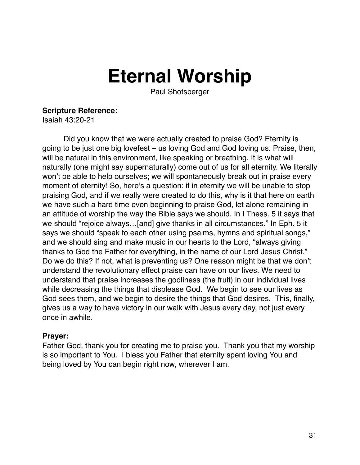# **Eternal Worship**

Paul Shotsberger

#### **Scripture Reference:**

Isaiah 43:20-21

Did you know that we were actually created to praise God? Eternity is going to be just one big lovefest – us loving God and God loving us. Praise, then, will be natural in this environment, like speaking or breathing. It is what will naturally (one might say supernaturally) come out of us for all eternity. We literally won't be able to help ourselves; we will spontaneously break out in praise every moment of eternity! So, here's a question: if in eternity we will be unable to stop praising God, and if we really were created to do this, why is it that here on earth we have such a hard time even beginning to praise God, let alone remaining in an attitude of worship the way the Bible says we should. In I Thess. 5 it says that we should "rejoice always…[and] give thanks in all circumstances." In Eph. 5 it says we should "speak to each other using psalms, hymns and spiritual songs," and we should sing and make music in our hearts to the Lord, "always giving thanks to God the Father for everything, in the name of our Lord Jesus Christ." Do we do this? If not, what is preventing us? One reason might be that we don't understand the revolutionary effect praise can have on our lives. We need to understand that praise increases the godliness (the fruit) in our individual lives while decreasing the things that displease God. We begin to see our lives as God sees them, and we begin to desire the things that God desires. This, finally, gives us a way to have victory in our walk with Jesus every day, not just every once in awhile.

#### **Prayer:**

Father God, thank you for creating me to praise you. Thank you that my worship is so important to You. I bless you Father that eternity spent loving You and being loved by You can begin right now, wherever I am.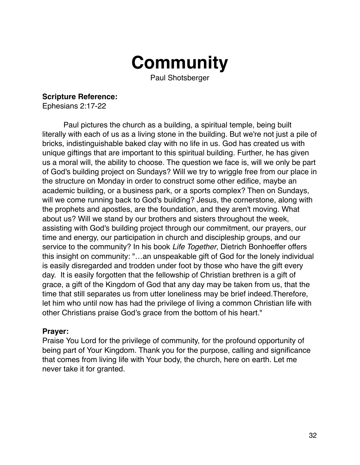

Paul Shotsberger

**Scripture Reference:** 

Ephesians 2:17-22

Paul pictures the church as a building, a spiritual temple, being built literally with each of us as a living stone in the building. But we're not just a pile of bricks, indistinguishable baked clay with no life in us. God has created us with unique giftings that are important to this spiritual building. Further, he has given us a moral will, the ability to choose. The question we face is, will we only be part of God's building project on Sundays? Will we try to wriggle free from our place in the structure on Monday in order to construct some other edifice, maybe an academic building, or a business park, or a sports complex? Then on Sundays, will we come running back to God's building? Jesus, the cornerstone, along with the prophets and apostles, are the foundation, and they aren't moving. What about us? Will we stand by our brothers and sisters throughout the week, assisting with God's building project through our commitment, our prayers, our time and energy, our participation in church and discipleship groups, and our service to the community? In his book *Life Together*, Dietrich Bonhoeffer offers this insight on community: "…an unspeakable gift of God for the lonely individual is easily disregarded and trodden under foot by those who have the gift every day. It is easily forgotten that the fellowship of Christian brethren is a gift of grace, a gift of the Kingdom of God that any day may be taken from us, that the time that still separates us from utter loneliness may be brief indeed.Therefore, let him who until now has had the privilege of living a common Christian life with other Christians praise God's grace from the bottom of his heart."

#### **Prayer:**

Praise You Lord for the privilege of community, for the profound opportunity of being part of Your Kingdom. Thank you for the purpose, calling and significance that comes from living life with Your body, the church, here on earth. Let me never take it for granted.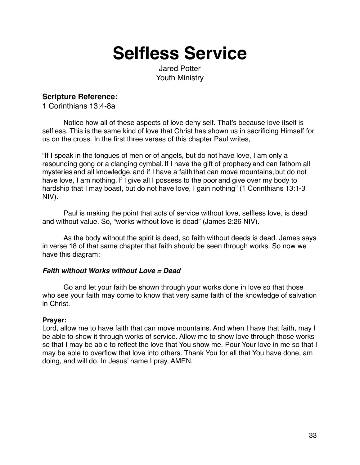### **Selfless Service**

Jared Potter Youth Ministry

#### **Scripture Reference:**

1 Corinthians 13:4-8a

Notice how all of these aspects of love deny self. That's because love itself is selfless. This is the same kind of love that Christ has shown us in sacrificing Himself for us on the cross. In the first three verses of this chapter Paul writes,

"If I speak in the tongues of men or of angels, but do not have love, I am only a resounding gong or a clanging cymbal. If I have the gift of prophecy and can fathom all mysteries and all knowledge, and if I have a faith that can move mountains, but do not have love, I am nothing. If I give all I possess to the poor and give over my body to hardship that I may boast, but do not have love, I gain nothing" (1 Corinthians 13:1-3 NIV).

Paul is making the point that acts of service without love, selfless love, is dead and without value. So, "works without love is dead" (James 2:26 NIV).

As the body without the spirit is dead, so faith without deeds is dead. James says in verse 18 of that same chapter that faith should be seen through works. So now we have this diagram:

#### *Faith without Works without Love = Dead*

Go and let your faith be shown through your works done in love so that those who see your faith may come to know that very same faith of the knowledge of salvation in Christ.

#### **Prayer:**

Lord, allow me to have faith that can move mountains. And when I have that faith, may I be able to show it through works of service. Allow me to show love through those works so that I may be able to reflect the love that You show me. Pour Your love in me so that I may be able to overflow that love into others. Thank You for all that You have done, am doing, and will do. In Jesus' name I pray, AMEN.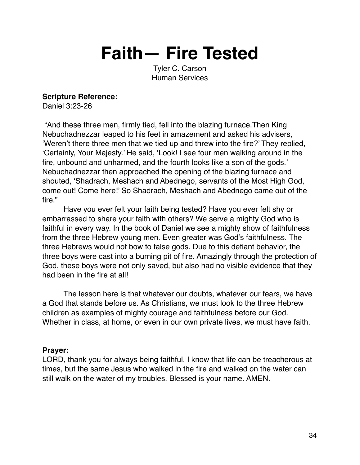**Faith— Fire Tested**

Tyler C. Carson Human Services

#### **Scripture Reference:**

Daniel 3:23-26

 "And these three men, firmly tied, fell into the blazing furnace.Then King Nebuchadnezzar leaped to his feet in amazement and asked his advisers, 'Weren't there three men that we tied up and threw into the fire?' They replied, 'Certainly, Your Majesty.' He said, 'Look! I see four men walking around in the fire, unbound and unharmed, and the fourth looks like a son of the gods.' Nebuchadnezzar then approached the opening of the blazing furnace and shouted, 'Shadrach, Meshach and Abednego, servants of the Most High God, come out! Come here!' So Shadrach, Meshach and Abednego came out of the fire."

Have you ever felt your faith being tested? Have you ever felt shy or embarrassed to share your faith with others? We serve a mighty God who is faithful in every way. In the book of Daniel we see a mighty show of faithfulness from the three Hebrew young men. Even greater was God's faithfulness. The three Hebrews would not bow to false gods. Due to this defiant behavior, the three boys were cast into a burning pit of fire. Amazingly through the protection of God, these boys were not only saved, but also had no visible evidence that they had been in the fire at all!

The lesson here is that whatever our doubts, whatever our fears, we have a God that stands before us. As Christians, we must look to the three Hebrew children as examples of mighty courage and faithfulness before our God. Whether in class, at home, or even in our own private lives, we must have faith.

#### **Prayer:**

LORD, thank you for always being faithful. I know that life can be treacherous at times, but the same Jesus who walked in the fire and walked on the water can still walk on the water of my troubles. Blessed is your name. AMEN.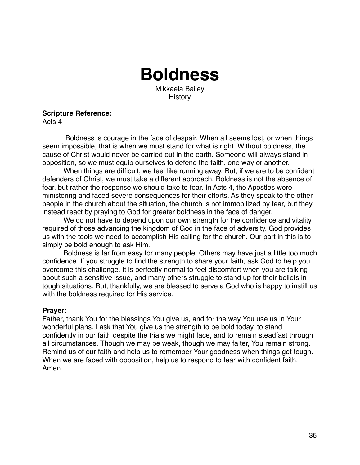### **Boldness**

Mikkaela Bailey **History** 

**Scripture Reference:** 

Acts 4

 Boldness is courage in the face of despair. When all seems lost, or when things seem impossible, that is when we must stand for what is right. Without boldness, the cause of Christ would never be carried out in the earth. Someone will always stand in opposition, so we must equip ourselves to defend the faith, one way or another.

When things are difficult, we feel like running away. But, if we are to be confident defenders of Christ, we must take a different approach. Boldness is not the absence of fear, but rather the response we should take to fear. In Acts 4, the Apostles were ministering and faced severe consequences for their efforts. As they speak to the other people in the church about the situation, the church is not immobilized by fear, but they instead react by praying to God for greater boldness in the face of danger.

We do not have to depend upon our own strength for the confidence and vitality required of those advancing the kingdom of God in the face of adversity. God provides us with the tools we need to accomplish His calling for the church. Our part in this is to simply be bold enough to ask Him.

Boldness is far from easy for many people. Others may have just a little too much confidence. If you struggle to find the strength to share your faith, ask God to help you overcome this challenge. It is perfectly normal to feel discomfort when you are talking about such a sensitive issue, and many others struggle to stand up for their beliefs in tough situations. But, thankfully, we are blessed to serve a God who is happy to instill us with the boldness required for His service.

#### **Prayer:**

Father, thank You for the blessings You give us, and for the way You use us in Your wonderful plans. I ask that You give us the strength to be bold today, to stand confidently in our faith despite the trials we might face, and to remain steadfast through all circumstances. Though we may be weak, though we may falter, You remain strong. Remind us of our faith and help us to remember Your goodness when things get tough. When we are faced with opposition, help us to respond to fear with confident faith. Amen.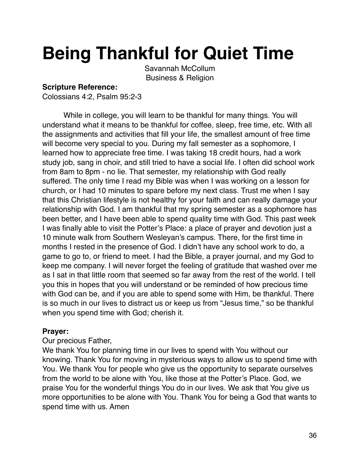# **Being Thankful for Quiet Time**

Savannah McCollum Business & Religion

#### **Scripture Reference:**

Colossians 4:2, Psalm 95:2-3

While in college, you will learn to be thankful for many things. You will understand what it means to be thankful for coffee, sleep, free time, etc. With all the assignments and activities that fill your life, the smallest amount of free time will become very special to you. During my fall semester as a sophomore, I learned how to appreciate free time. I was taking 18 credit hours, had a work study job, sang in choir, and still tried to have a social life. I often did school work from 8am to 8pm - no lie. That semester, my relationship with God really suffered. The only time I read my Bible was when I was working on a lesson for church, or I had 10 minutes to spare before my next class. Trust me when I say that this Christian lifestyle is not healthy for your faith and can really damage your relationship with God. I am thankful that my spring semester as a sophomore has been better, and I have been able to spend quality time with God. This past week I was finally able to visit the Potter's Place: a place of prayer and devotion just a 10 minute walk from Southern Wesleyan's campus. There, for the first time in months I rested in the presence of God. I didn't have any school work to do, a game to go to, or friend to meet. I had the Bible, a prayer journal, and my God to keep me company. I will never forget the feeling of gratitude that washed over me as I sat in that little room that seemed so far away from the rest of the world. I tell you this in hopes that you will understand or be reminded of how precious time with God can be, and if you are able to spend some with Him, be thankful. There is so much in our lives to distract us or keep us from "Jesus time," so be thankful when you spend time with God; cherish it.

#### **Prayer:**

#### Our precious Father,

We thank You for planning time in our lives to spend with You without our knowing. Thank You for moving in mysterious ways to allow us to spend time with You. We thank You for people who give us the opportunity to separate ourselves from the world to be alone with You, like those at the Potter's Place. God, we praise You for the wonderful things You do in our lives. We ask that You give us more opportunities to be alone with You. Thank You for being a God that wants to spend time with us. Amen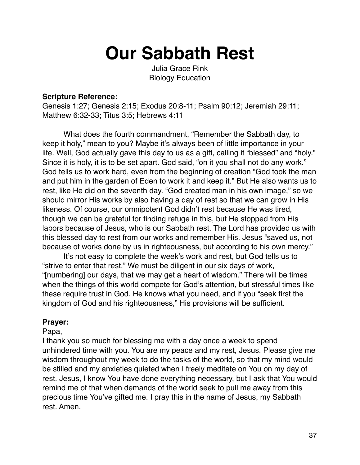# **Our Sabbath Rest**

Julia Grace Rink Biology Education

#### **Scripture Reference:**

Genesis 1:27; Genesis 2:15; Exodus 20:8-11; Psalm 90:12; Jeremiah 29:11; Matthew 6:32-33; Titus 3:5; Hebrews 4:11

What does the fourth commandment, "Remember the Sabbath day, to keep it holy," mean to you? Maybe it's always been of little importance in your life. Well, God actually gave this day to us as a gift, calling it "blessed" and "holy." Since it is holy, it is to be set apart. God said, "on it you shall not do any work." God tells us to work hard, even from the beginning of creation "God took the man and put him in the garden of Eden to work it and keep it." But He also wants us to rest, like He did on the seventh day. "God created man in his own image," so we should mirror His works by also having a day of rest so that we can grow in His likeness. Of course, our omnipotent God didn't rest because He was tired, though we can be grateful for finding refuge in this, but He stopped from His labors because of Jesus, who is our Sabbath rest. The Lord has provided us with this blessed day to rest from our works and remember His. Jesus "saved us, not because of works done by us in righteousness, but according to his own mercy."

It's not easy to complete the week's work and rest, but God tells us to "strive to enter that rest." We must be diligent in our six days of work, "[numbering] our days, that we may get a heart of wisdom." There will be times when the things of this world compete for God's attention, but stressful times like these require trust in God. He knows what you need, and if you "seek first the kingdom of God and his righteousness," His provisions will be sufficient.

#### **Prayer:**

Papa,

I thank you so much for blessing me with a day once a week to spend unhindered time with you. You are my peace and my rest, Jesus. Please give me wisdom throughout my week to do the tasks of the world, so that my mind would be stilled and my anxieties quieted when I freely meditate on You on my day of rest. Jesus, I know You have done everything necessary, but I ask that You would remind me of that when demands of the world seek to pull me away from this precious time You've gifted me. I pray this in the name of Jesus, my Sabbath rest. Amen.